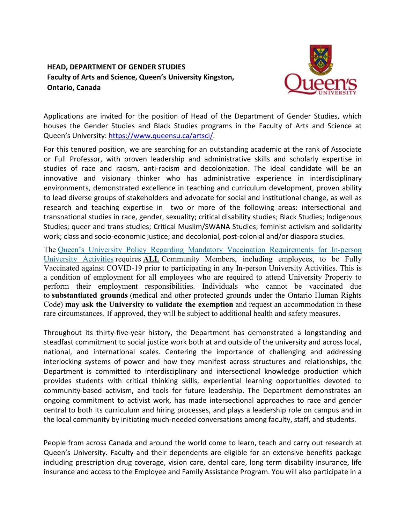## **HEAD, DEPARTMENT OF GENDER STUDIES Faculty of Arts and Science, Queen's University Kingston, Ontario, Canada**



Applications are invited for the position of Head of the Department of Gender Studies, which houses the Gender Studies and Black Studies programs in the Faculty of Arts and Science at Queen's University: [https://www.queensu.ca/artsci/.](https://www.queensu.ca/artsci/)

For this tenured position, we are searching for an outstanding academic at the rank of Associate or Full Professor, with proven leadership and administrative skills and scholarly expertise in studies of race and racism, anti-racism and decolonization. The ideal candidate will be an innovative and visionary thinker who has administrative experience in interdisciplinary environments, demonstrated excellence in teaching and curriculum development, proven ability to lead diverse groups of stakeholders and advocate for social and institutional change, as well as research and teaching expertise in two or more of the following areas: intersectional and transnational studies in race, gender, sexuality; critical disability studies; Black Studies; Indigenous Studies; queer and trans studies; Critical Muslim/SWANA Studies; feminist activism and solidarity work; class and socio-economic justice; and decolonial, post-colonial and/or diaspora studies.

The Queen's University Policy Regarding Mandatory Vaccination [Requirements](https://www.queensu.ca/secretariat/policies/administration-and-operations/covid-19-vaccination-requirements) for In-person [University](https://www.queensu.ca/secretariat/policies/administration-and-operations/covid-19-vaccination-requirements) Activities requires **ALL** Community Members, including employees, to be Fully Vaccinated against COVID-19 prior to participating in any In-person University Activities. This is a condition of employment for all employees who are required to attend University Property to perform their employment responsibilities. Individuals who cannot be vaccinated due to **substantiated grounds** (medical and other protected grounds under the Ontario Human Rights Code) **may ask the University to validate the exemption** and request an accommodation in these rare circumstances. If approved, they will be subject to additional health and safety measures.

Throughout its thirty-five-year history, the Department has demonstrated a longstanding and steadfast commitment to social justice work both at and outside of the university and across local, national, and international scales. Centering the importance of challenging and addressing interlocking systems of power and how they manifest across structures and relationships, the Department is committed to interdisciplinary and intersectional knowledge production which provides students with critical thinking skills, experiential learning opportunities devoted to community-based activism, and tools for future leadership. The Department demonstrates an ongoing commitment to activist work, has made intersectional approaches to race and gender central to both its curriculum and hiring processes, and plays a leadership role on campus and in the local community by initiating much-needed conversations among faculty, staff, and students.

People from across Canada and around the world come to learn, teach and carry out research at Queen's University. Faculty and their dependents are eligible for an extensive benefits package including prescription drug coverage, vision care, dental care, long term disability insurance, life insurance and access to the Employee and Family Assistance Program. You will also participate in a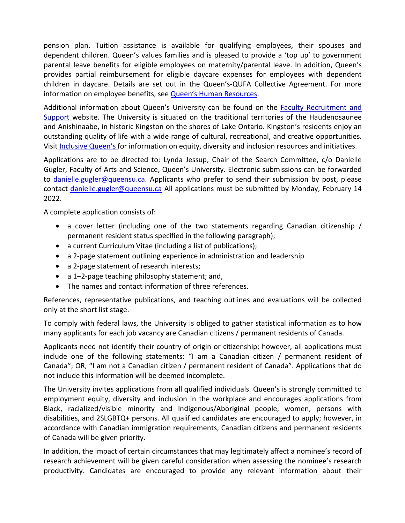pension plan. Tuition assistance is available for qualifying employees, their spouses and dependent children. Queen's values families and is pleased to provide a 'top up' to government parental leave benefits for eligible employees on maternity/parental leave. In addition, Queen's provides partial reimbursement for eligible daycare expenses for employees with dependent children in daycare. Details are set out in the Queen's-QUFA Collective Agreement. For more information on employee benefits, see **Queen's Human Resources**.

Additional information about Queen's University can be found on the [Faculty Recruitment and](http://www.queensu.ca/facultyrecruitment)  [Support](http://www.queensu.ca/facultyrecruitment) website. The University is situated on the traditional territories of the Haudenosaunee and Anishinaabe, in historic Kingston on the shores of Lake Ontario. Kingston's residents enjoy an outstanding quality of life with a wide range of cultural, recreational, and creative opportunities. Visi[t Inclusive Queen's](https://www.queensu.ca/inclusive/) for information on equity, diversity and inclusion resources and initiatives.

Applications are to be directed to: Lynda Jessup, Chair of the Search Committee, c/o Danielle Gugler, Faculty of Arts and Science, Queen's University. Electronic submissions can be forwarded to [danielle.gugler@queensu.ca.](mailto:danielle.gugler@queensu.ca) Applicants who prefer to send their submission by post, please contact [danielle.gugler@queensu.ca](mailto:danielle.gugler@queensu.ca) All applications must be submitted by Monday, February 14 2022.

A complete application consists of:

- a cover letter (including one of the two statements regarding Canadian citizenship / permanent resident status specified in the following paragraph);
- a current Curriculum Vitae (including a list of publications);
- a 2-page statement outlining experience in administration and leadership
- a 2-page statement of research interests;
- a 1-2-page teaching philosophy statement; and,
- The names and contact information of three references.

References, representative publications, and teaching outlines and evaluations will be collected only at the short list stage.

To comply with federal laws, the University is obliged to gather statistical information as to how many applicants for each job vacancy are Canadian citizens / permanent residents of Canada.

Applicants need not identify their country of origin or citizenship; however, all applications must include one of the following statements: "I am a Canadian citizen / permanent resident of Canada"; OR, "I am not a Canadian citizen / permanent resident of Canada". Applications that do not include this information will be deemed incomplete.

The University invites applications from all qualified individuals. Queen's is strongly committed to employment equity, diversity and inclusion in the workplace and encourages applications from Black, racialized/visible minority and Indigenous/Aboriginal people, women, persons with disabilities, and 2SLGBTQ+ persons. All qualified candidates are encouraged to apply; however, in accordance with Canadian immigration requirements, Canadian citizens and permanent residents of Canada will be given priority.

In addition, the impact of certain circumstances that may legitimately affect a nominee's record of research achievement will be given careful consideration when assessing the nominee's research productivity. Candidates are encouraged to provide any relevant information about their